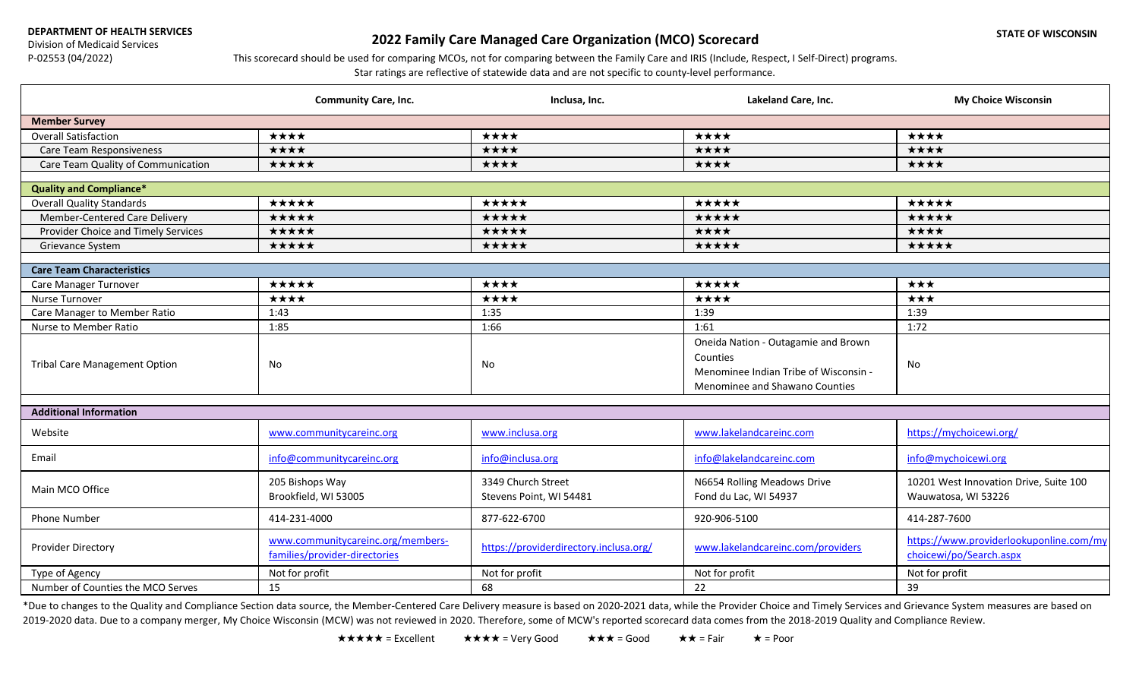**DEPARTMENT OF HEALTH SERVICES**

Division of Medicaid Services P-02553 (04/2022)

## **2022 Family Care Managed Care Organization (MCO) Scorecard**

## This scorecard should be used for comparing MCOs, not for comparing between the Family Care and IRIS (Include, Respect, I Self-Direct) programs.

Star ratings are reflective of statewide data and are not specific to county-level performance.

|                                      | <b>Community Care, Inc.</b>                                        | Inclusa, Inc.                                 | Lakeland Care, Inc.                                                                                                        | <b>My Choice Wisconsin</b>                                         |  |
|--------------------------------------|--------------------------------------------------------------------|-----------------------------------------------|----------------------------------------------------------------------------------------------------------------------------|--------------------------------------------------------------------|--|
| <b>Member Survey</b>                 |                                                                    |                                               |                                                                                                                            |                                                                    |  |
| Overall Satisfaction                 | ****                                                               | ****                                          | ****                                                                                                                       | ****                                                               |  |
| Care Team Responsiveness             | ****                                                               | ★★★★                                          | ★★★★                                                                                                                       | ★★★★                                                               |  |
| Care Team Quality of Communication   | *****                                                              | ★★★★                                          | ★★★★                                                                                                                       | ★★★★                                                               |  |
|                                      |                                                                    |                                               |                                                                                                                            |                                                                    |  |
| <b>Quality and Compliance*</b>       |                                                                    |                                               |                                                                                                                            |                                                                    |  |
| <b>Overall Quality Standards</b>     | *****                                                              | *****                                         | *****                                                                                                                      | *****                                                              |  |
| Member-Centered Care Delivery        | ★★★★★                                                              | ★★★★★                                         | *****                                                                                                                      | ★★★★★                                                              |  |
| Provider Choice and Timely Services  | *****                                                              | ★★★★★                                         | ★★★★                                                                                                                       | ★★★★                                                               |  |
| Grievance System                     | ★★★★★                                                              | ★★★★★                                         | *****                                                                                                                      | ★★★★★                                                              |  |
| <b>Care Team Characteristics</b>     |                                                                    |                                               |                                                                                                                            |                                                                    |  |
| Care Manager Turnover                | *****                                                              | ****                                          | *****                                                                                                                      | ★★★                                                                |  |
| Nurse Turnover                       | ****                                                               | ★★★★                                          | ****                                                                                                                       | $\star\star\star$                                                  |  |
| Care Manager to Member Ratio         | 1:43                                                               | 1:35                                          | 1:39                                                                                                                       | 1:39                                                               |  |
| Nurse to Member Ratio                | 1:85                                                               | 1:66                                          | 1:61                                                                                                                       | 1:72                                                               |  |
| <b>Tribal Care Management Option</b> | No                                                                 | No                                            | Oneida Nation - Outagamie and Brown<br>Counties<br>Menominee Indian Tribe of Wisconsin -<br>Menominee and Shawano Counties | No                                                                 |  |
| <b>Additional Information</b>        |                                                                    |                                               |                                                                                                                            |                                                                    |  |
| Website                              | www.communitycareinc.org                                           | www.inclusa.org                               | www.lakelandcareinc.com                                                                                                    | https://mychoicewi.org/                                            |  |
| Email                                | info@communitycareinc.org                                          | info@inclusa.org                              | info@lakelandcareinc.com                                                                                                   | info@mychoicewi.org                                                |  |
| Main MCO Office                      | 205 Bishops Way<br>Brookfield, WI 53005                            | 3349 Church Street<br>Stevens Point, WI 54481 | N6654 Rolling Meadows Drive<br>Fond du Lac, WI 54937                                                                       | 10201 West Innovation Drive, Suite 100<br>Wauwatosa, WI 53226      |  |
| <b>Phone Number</b>                  | 414-231-4000                                                       | 877-622-6700                                  | 920-906-5100                                                                                                               | 414-287-7600                                                       |  |
| <b>Provider Directory</b>            | www.communitycareinc.org/members-<br>families/provider-directories | https://providerdirectory.inclusa.org/        | www.lakelandcareinc.com/providers                                                                                          | https://www.providerlookuponline.com/my<br>choicewi/po/Search.aspx |  |
| Type of Agency                       | Not for profit                                                     | Not for profit                                | Not for profit                                                                                                             | Not for profit                                                     |  |
| Number of Counties the MCO Serves    | 15                                                                 | 68                                            | 22                                                                                                                         | 39                                                                 |  |

\*Due to changes to the Quality and Compliance Section data source, the Member-Centered Care Delivery measure is based on 2020-2021 data, while the Provider Choice and Timely Services and Grievance System measures are based 2019-2020 data. Due to a company merger, My Choice Wisconsin (MCW) was not reviewed in 2020. Therefore, some of MCW's reported scorecard data comes from the 2018-2019 Quality and Compliance Review.